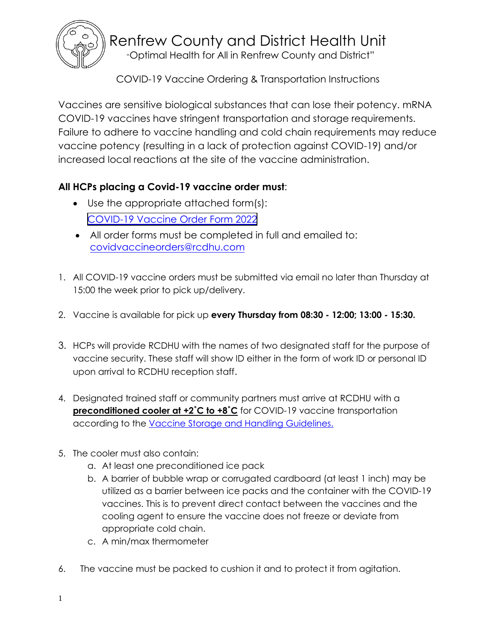

Renfrew County and District Health Unit

"Optimal Health for All in Renfrew County and District"

COVID-19 Vaccine Ordering & Transportation Instructions

Vaccines are sensitive biological substances that can lose their potency. mRNA COVID-19 vaccines have stringent transportation and storage requirements. Failure to adhere to vaccine handling and cold chain requirements may reduce vaccine potency (resulting in a lack of protection against COVID-19) and/or increased local reactions at the site of the vaccine administration.

## **All HCPs placing a Covid-19 vaccine order must**:

- Use the appropriate attached form(s): [COVID-19 Vaccine Order Form 2022](https://www.rcdhu.com/wp-content/uploads/2021/08/2021-2022_Covid_19-Vaccine-Order-Form-HCP_2021-07-15_Final.pdf)
- All order forms must be completed in full and emailed to: [covidvaccineorders@rcdhu.com](mailto:covid19vaccineorders@rcdhu.com)
- 1. All COVID-19 vaccine orders must be submitted via email no later than Thursday at 15:00 the week prior to pick up/delivery.
- 2. Vaccine is available for pick up **every Thursday from 08:30 - 12:00; 13:00 - 15:30.**
- 3. HCPs will provide RCDHU with the names of two designated staff for the purpose of vaccine security. These staff will show ID either in the form of work ID or personal ID upon arrival to RCDHU reception staff.
- 4. Designated trained staff or community partners must arrive at RCDHU with a **preconditioned cooler at +2°C to +8°C** for COVID-19 vaccine transportation according to the **[Vaccine Storage and Handling Guidelines.](http://www.health.gov.on.ca/en/pro/programs/publichealth/oph_standards/docs/reference/vaccine%20_storage_handling_guidelines_en.pdf)**
- 5. The cooler must also contain:
	- a. At least one preconditioned ice pack
	- b. A barrier of bubble wrap or corrugated cardboard (at least 1 inch) may be utilized as a barrier between ice packs and the container with the COVID-19 vaccines. This is to prevent direct contact between the vaccines and the cooling agent to ensure the vaccine does not freeze or deviate from appropriate cold chain.
	- c. A min/max thermometer
- 6. The vaccine must be packed to cushion it and to protect it from agitation.